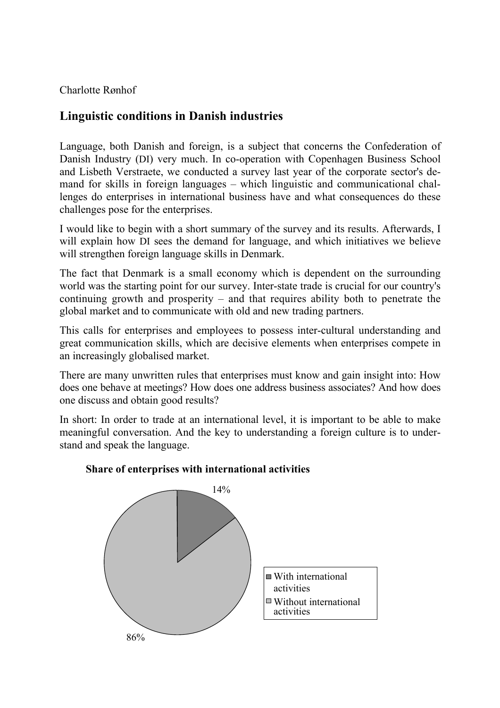Charlotte Rønhof

# **Linguistic conditions in Danish industries**

Language, both Danish and foreign, is a subject that concerns the Confederation of Danish Industry (DI) very much. In co-operation with Copenhagen Business School and Lisbeth Verstraete, we conducted a survey last year of the corporate sector's demand for skills in foreign languages – which linguistic and communicational challenges do enterprises in international business have and what consequences do these challenges pose for the enterprises.

I would like to begin with a short summary of the survey and its results. Afterwards, I will explain how DI sees the demand for language, and which initiatives we believe will strengthen foreign language skills in Denmark.

The fact that Denmark is a small economy which is dependent on the surrounding world was the starting point for our survey. Inter-state trade is crucial for our country's continuing growth and prosperity – and that requires ability both to penetrate the global market and to communicate with old and new trading partners.

This calls for enterprises and employees to possess inter-cultural understanding and great communication skills, which are decisive elements when enterprises compete in an increasingly globalised market.

There are many unwritten rules that enterprises must know and gain insight into: How does one behave at meetings? How does one address business associates? And how does one discuss and obtain good results?

In short: In order to trade at an international level, it is important to be able to make meaningful conversation. And the key to understanding a foreign culture is to understand and speak the language.



### **Share of enterprises with international activities**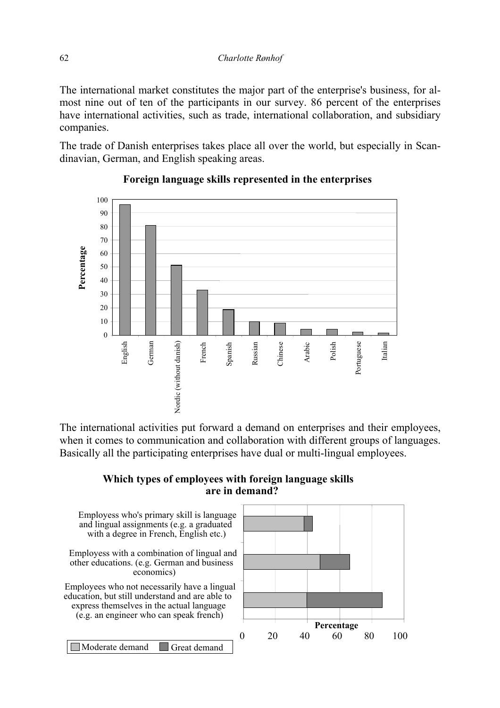The international market constitutes the major part of the enterprise's business, for almost nine out of ten of the participants in our survey. 86 percent of the enterprises have international activities, such as trade, international collaboration, and subsidiary companies.

The trade of Danish enterprises takes place all over the world, but especially in Scandinavian, German, and English speaking areas.



# **Foreign language skills represented in the enterprises**

The international activities put forward a demand on enterprises and their employees, when it comes to communication and collaboration with different groups of languages. Basically all the participating enterprises have dual or multi-lingual employees.

## **Which types of employees with foreign language skills are in demand?**

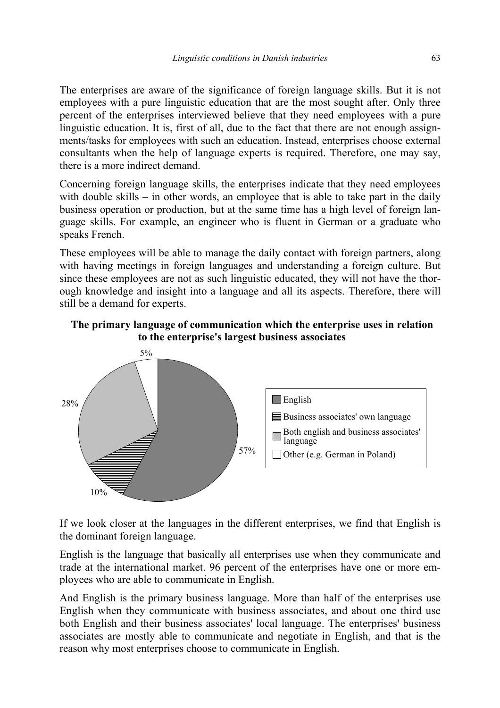The enterprises are aware of the significance of foreign language skills. But it is not employees with a pure linguistic education that are the most sought after. Only three percent of the enterprises interviewed believe that they need employees with a pure linguistic education. It is, first of all, due to the fact that there are not enough assignments/tasks for employees with such an education. Instead, enterprises choose external consultants when the help of language experts is required. Therefore, one may say, there is a more indirect demand.

Concerning foreign language skills, the enterprises indicate that they need employees with double skills – in other words, an employee that is able to take part in the daily business operation or production, but at the same time has a high level of foreign language skills. For example, an engineer who is fluent in German or a graduate who speaks French.

These employees will be able to manage the daily contact with foreign partners, along with having meetings in foreign languages and understanding a foreign culture. But since these employees are not as such linguistic educated, they will not have the thorough knowledge and insight into a language and all its aspects. Therefore, there will still be a demand for experts.

### **The primary language of communication which the enterprise uses in relation to the enterprise's largest business associates**



If we look closer at the languages in the different enterprises, we find that English is the dominant foreign language.

English is the language that basically all enterprises use when they communicate and trade at the international market. 96 percent of the enterprises have one or more employees who are able to communicate in English.

And English is the primary business language. More than half of the enterprises use English when they communicate with business associates, and about one third use both English and their business associates' local language. The enterprises' business associates are mostly able to communicate and negotiate in English, and that is the reason why most enterprises choose to communicate in English.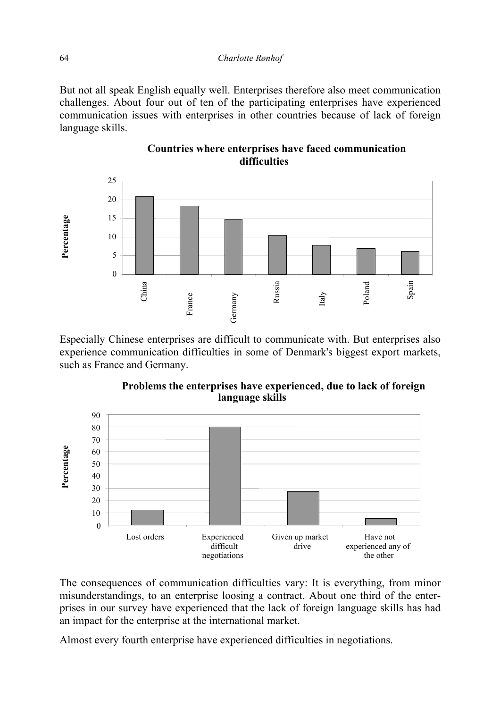But not all speak English equally well. Enterprises therefore also meet communication challenges. About four out of ten of the participating enterprises have experienced communication issues with enterprises in other countries because of lack of foreign language skills.



## **Countries where enterprises have faced communication difficulties**

Especially Chinese enterprises are difficult to communicate with. But enterprises also experience communication difficulties in some of Denmark's biggest export markets, such as France and Germany.



**Problems the enterprises have experienced, due to lack of foreign language skills**

The consequences of communication difficulties vary: It is everything, from minor misunderstandings, to an enterprise loosing a contract. About one third of the enterprises in our survey have experienced that the lack of foreign language skills has had an impact for the enterprise at the international market.

Almost every fourth enterprise have experienced difficulties in negotiations.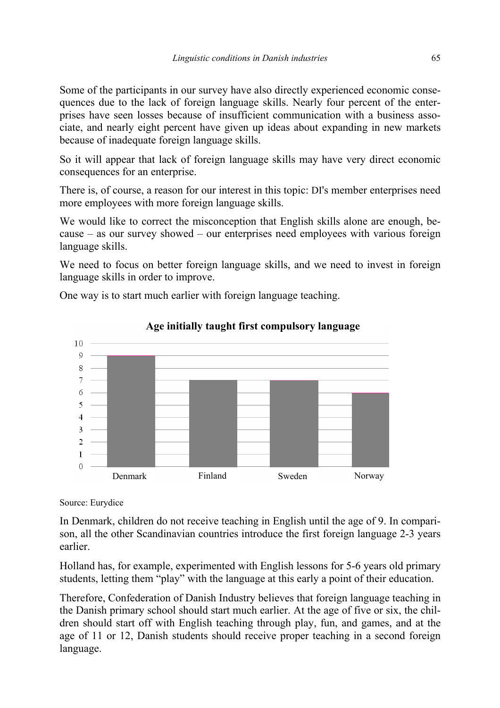Some of the participants in our survey have also directly experienced economic consequences due to the lack of foreign language skills. Nearly four percent of the enterprises have seen losses because of insufficient communication with a business associate, and nearly eight percent have given up ideas about expanding in new markets because of inadequate foreign language skills.

So it will appear that lack of foreign language skills may have very direct economic consequences for an enterprise.

There is, of course, a reason for our interest in this topic: DI's member enterprises need more employees with more foreign language skills.

We would like to correct the misconception that English skills alone are enough, because – as our survey showed – our enterprises need employees with various foreign language skills.

We need to focus on better foreign language skills, and we need to invest in foreign language skills in order to improve.

One way is to start much earlier with foreign language teaching.



# **Age initially taught first compulsory language**

Source: Eurydice

In Denmark, children do not receive teaching in English until the age of 9. In comparison, all the other Scandinavian countries introduce the first foreign language 2-3 years earlier.

Holland has, for example, experimented with English lessons for 5-6 years old primary students, letting them "play" with the language at this early a point of their education.

Therefore, Confederation of Danish Industry believes that foreign language teaching in the Danish primary school should start much earlier. At the age of five or six, the children should start off with English teaching through play, fun, and games, and at the age of 11 or 12, Danish students should receive proper teaching in a second foreign language.